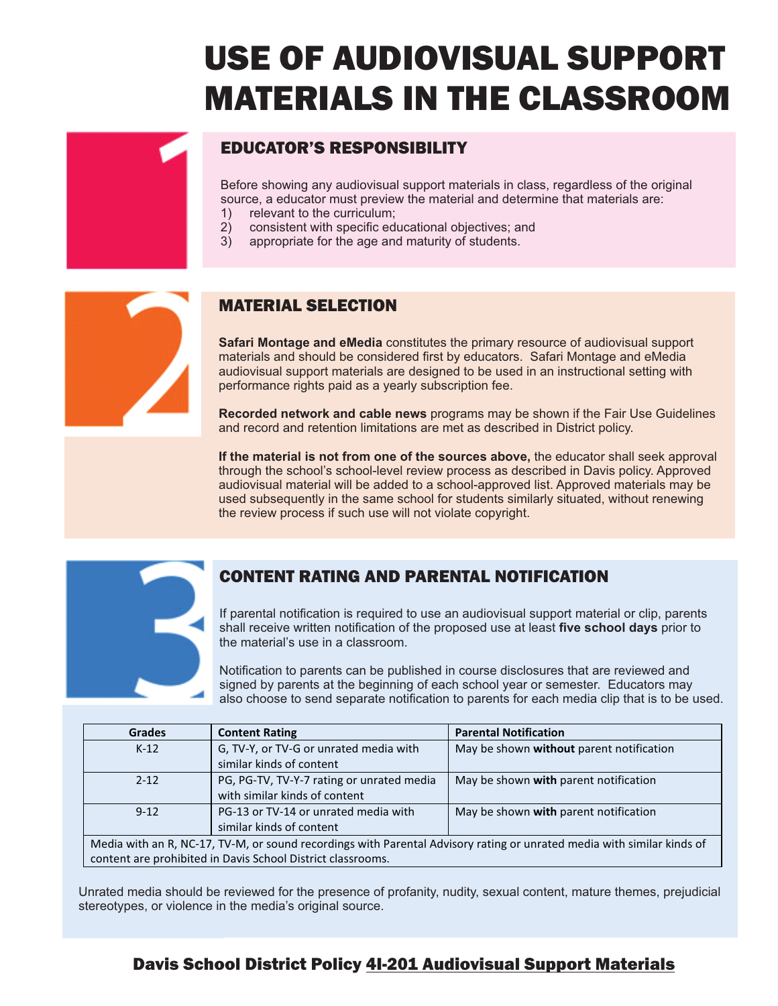# USE OF AUDIOVISUAL SUPPORT MATERIALS IN THE CLASSROOM

#### EDUCATOR'S RESPONSIBILITY

Before showing any audiovisual support materials in class, regardless of the original source, a educator must preview the material and determine that materials are:

- 1) relevant to the curriculum;<br>2) consistent with specific edi
- 2) consistent with specific educational objectives; and
- 3) appropriate for the age and maturity of students.

#### MATERIAL SELECTION

**Safari Montage and eMedia** constitutes the primary resource of audiovisual support materials and should be considered first by educators. Safari Montage and eMedia audiovisual support materials are designed to be used in an instructional setting with performance rights paid as a yearly subscription fee.

**Recorded network and cable news** programs may be shown if the Fair Use Guidelines and record and retention limitations are met as described in District policy.

**If the material is not from one of the sources above,** the educator shall seek approval through the school's school-level review process as described in Davis policy. Approved audiovisual material will be added to a school-approved list. Approved materials may be used subsequently in the same school for students similarly situated, without renewing the review process if such use will not violate copyright.



#### CONTENT RATING AND PARENTAL NOTIFICATION

If parental notification is required to use an audiovisual support material or clip, parents shall receive written notification of the proposed use at least five school days prior to the material's use in a classroom.

Notification to parents can be published in course disclosures that are reviewed and signed by parents at the beginning of each school year or semester. Educators may also choose to send separate notification to parents for each media clip that is to be used.

| <b>Grades</b>                                                                                                          | <b>Content Rating</b>                     | <b>Parental Notification</b>             |  |
|------------------------------------------------------------------------------------------------------------------------|-------------------------------------------|------------------------------------------|--|
| $K-12$                                                                                                                 | G, TV-Y, or TV-G or unrated media with    | May be shown without parent notification |  |
|                                                                                                                        | similar kinds of content                  |                                          |  |
| $2 - 12$                                                                                                               | PG, PG-TV, TV-Y-7 rating or unrated media | May be shown with parent notification    |  |
|                                                                                                                        | with similar kinds of content             |                                          |  |
| $9 - 12$                                                                                                               | PG-13 or TV-14 or unrated media with      | May be shown with parent notification    |  |
|                                                                                                                        | similar kinds of content                  |                                          |  |
| Media with an R, NC-17, TV-M, or sound recordings with Parental Advisory rating or unrated media with similar kinds of |                                           |                                          |  |
| content are prohibited in Davis School District classrooms.                                                            |                                           |                                          |  |

Unrated media should be reviewed for the presence of profanity, nudity, sexual content, mature themes, prejudicial stereotypes, or violence in the media's original source.

#### Davis School District Policy 4I-201 Audiovisual Support Materials